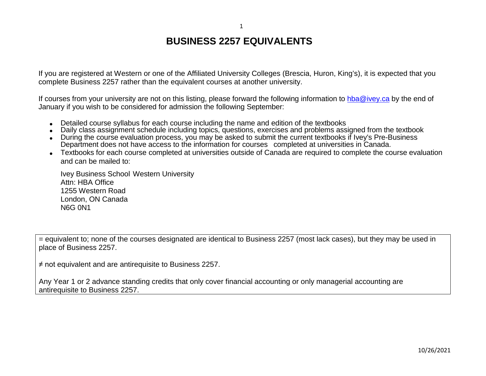## **BUSINESS 2257 EQUIVALENTS**

1

If you are registered at Western or one of the Affiliated University Colleges (Brescia, Huron, King's), it is expected that you complete Business 2257 rather than the equivalent courses at another university.

If courses from your university are not on this listing, please forward the following information to [hba@ivey.ca](mailto:hba@ivey.ca) by the end of January if you wish to be considered for admission the following September:

- Detailed course syllabus for each course including the name and edition of the textbooks
- Daily class assignment schedule including topics, questions, exercises and problems assigned from the textbook
- During the course evaluation process, you may be asked to submit the current textbooks if Ivey's Pre-Business Department does not have access to the information for courses completed at universities in Canada.
- Textbooks for each course completed at universities outside of Canada are required to complete the course evaluation and can be mailed to:

Ivey Business School Western University Attn: HBA Office 1255 Western Road London, ON Canada N6G 0N1

= equivalent to; none of the courses designated are identical to Business 2257 (most lack cases), but they may be used in place of Business 2257.

≠ not equivalent and are antirequisite to Business 2257.

Any Year 1 or 2 advance standing credits that only cover financial accounting or only managerial accounting are antirequisite to Business 2257.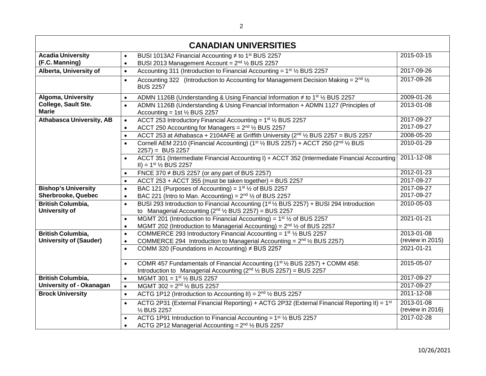| <b>CANADIAN UNIVERSITIES</b>        |                                                                                                                                                                                                            |                  |  |
|-------------------------------------|------------------------------------------------------------------------------------------------------------------------------------------------------------------------------------------------------------|------------------|--|
| <b>Acadia University</b>            | BUSI 1013A2 Financial Accounting ≠ to 1 <sup>st</sup> BUS 2257<br>$\bullet$                                                                                                                                | 2015-03-15       |  |
| (F.C. Manning)                      | BUSI 2013 Management Account = 2 <sup>nd</sup> 1/2 BUS 2257<br>$\bullet$                                                                                                                                   |                  |  |
| Alberta, University of              | Accounting 311 (Introduction to Financial Accounting = 1 <sup>st</sup> 1/ <sub>2</sub> BUS 2257<br>$\bullet$                                                                                               | 2017-09-26       |  |
|                                     | Accounting 322 (Introduction to Accounting for Management Decision Making = $2^{nd}$ 1/ <sub>2</sub><br>$\bullet$<br><b>BUS 2257</b>                                                                       | 2017-09-26       |  |
| Algoma, University                  | ADMN 1126B (Understanding & Using Financial Information ≠ to 1 <sup>st</sup> 1⁄2 BUS 2257<br>$\bullet$                                                                                                     | 2009-01-26       |  |
| College, Sault Ste.<br><b>Marie</b> | ADMN 1126B (Understanding & Using Financial Information + ADMN 1127 (Principles of<br>$\bullet$<br>Accounting = 1st $\frac{1}{2}$ BUS 2257                                                                 | 2013-01-08       |  |
| <b>Athabasca University, AB</b>     | ACCT 253 Introductory Financial Accounting = $1st$ 1/ <sub>2</sub> BUS 2257<br>$\bullet$                                                                                                                   | 2017-09-27       |  |
|                                     | ACCT 250 Accounting for Managers = $2^{nd}$ 1/ <sub>2</sub> BUS 2257<br>$\bullet$                                                                                                                          | 2017-09-27       |  |
|                                     | ACCT 253 at Athabasca + 2104AFE at Griffith University (2nd 1/2 BUS 2257 = BUS 2257<br>$\bullet$                                                                                                           | 2008-05-20       |  |
|                                     | Cornell AEM 2210 (Financial Accounting) (1st 1/2 BUS 2257) + ACCT 250 (2nd 1/2 BUS<br>$\bullet$<br>$2257$ ) = BUS 2257                                                                                     | 2010-01-29       |  |
|                                     | ACCT 351 (Intermediate Financial Accounting I) + ACCT 352 (Intermediate Financial Accounting<br>$\bullet$<br>$II$ ) = 1 <sup>st</sup> $\frac{1}{2}$ BUS 2257                                               | 2011-12-08       |  |
|                                     | FNCE 370 $\neq$ BUS 2257 (or any part of BUS 2257)<br>$\bullet$                                                                                                                                            | 2012-01-23       |  |
|                                     | ACCT 253 + ACCT 355 (must be taken together) = BUS 2257<br>$\bullet$                                                                                                                                       | 2017-09-27       |  |
| <b>Bishop's University</b>          | BAC 121 (Purposes of Accounting) = $1st$ 1/ <sub>2</sub> of BUS 2257<br>$\bullet$                                                                                                                          | 2017-09-27       |  |
| <b>Sherbrooke, Quebec</b>           | BAC 221 (Intro to Man. Accounting) = $2^{nd}$ 1/2 of BUS 2257<br>$\bullet$                                                                                                                                 | 2017-09-27       |  |
| <b>British Columbia,</b>            | BUSI 293 Introduction to Financial Accounting (1 <sup>st 1</sup> / <sub>2</sub> BUS 2257) + BUSI 294 Introduction<br>$\bullet$                                                                             | 2010-05-03       |  |
| University of                       | to Managerial Accounting $(2^{nd}$ $\frac{1}{2}$ BUS 2257) = BUS 2257                                                                                                                                      |                  |  |
|                                     | MGMT 201 (Introduction to Financial Accounting) = $1st$ % of BUS 2257<br>$\bullet$                                                                                                                         | 2021-01-21       |  |
|                                     | MGMT 202 (Introduction to Managerial Accounting) = $2^{nd}$ $\frac{1}{2}$ of BUS 2257<br>$\bullet$                                                                                                         |                  |  |
| <b>British Columbia,</b>            | COMMERCE 293 Introductory Financial Accounting = $1st$ 1/ <sub>2</sub> BUS 2257<br>$\bullet$                                                                                                               | 2013-01-08       |  |
| <b>University of (Sauder)</b>       | COMMERCE 294 Introduction to Managerial Accounting = $2^{nd}$ $\frac{1}{2}$ BUS 2257)<br>$\bullet$                                                                                                         | (review in 2015) |  |
|                                     | COMM 320 (Foundations in Accounting) ≠ BUS 2257<br>$\bullet$                                                                                                                                               | 2021-01-21       |  |
|                                     | COMR 457 Fundamentals of Financial Accounting (1 <sup>st 1</sup> / <sub>2</sub> BUS 2257) + COMM 458:<br>$\bullet$<br>Introduction to Managerial Accounting $(2^{nd}$ 1/ <sub>2</sub> BUS 2257) = BUS 2257 | 2015-05-07       |  |
| <b>British Columbia,</b>            | MGMT 301 = $1^{st}$ $\frac{1}{2}$ BUS 2257<br>$\bullet$                                                                                                                                                    | 2017-09-27       |  |
| University of - Okanagan            | MGMT 302 = $2^{nd}$ $\frac{1}{2}$ BUS 2257<br>$\bullet$                                                                                                                                                    | 2017-09-27       |  |
| <b>Brock University</b>             | ACTG 1P12 (Introduction to Accounting II) = $2nd$ 1/ <sub>2</sub> BUS 2257<br>$\bullet$                                                                                                                    | 2011-12-08       |  |
|                                     | ACTG 2P31 (External Financial Reporting) + ACTG 2P32 (External Financial Reporting II) = 1 <sup>st</sup><br>$\bullet$                                                                                      | 2013-01-08       |  |
|                                     | 1/2 BUS 2257                                                                                                                                                                                               | (review in 2016) |  |
|                                     | ACTG 1P91 Introduction to Financial Accounting = 1 <sup>st</sup> 1/ <sub>2</sub> BUS 2257<br>$\bullet$                                                                                                     | $2017 - 02 - 28$ |  |
|                                     | ACTG 2P12 Managerial Accounting = $2nd$ 1/ <sub>2</sub> BUS 2257                                                                                                                                           |                  |  |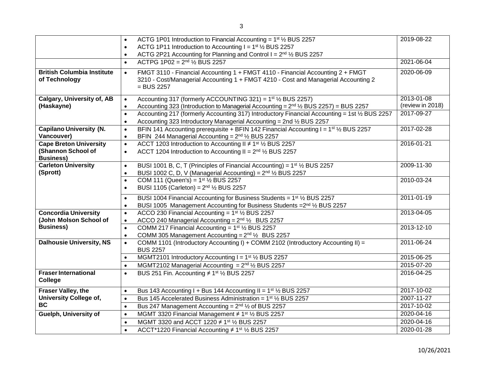|                                                    | ACTG 1P01 Introduction to Financial Accounting = $1st$ 1/2 BUS 2257<br>$\bullet$                                                                                                                  | 2019-08-22       |
|----------------------------------------------------|---------------------------------------------------------------------------------------------------------------------------------------------------------------------------------------------------|------------------|
|                                                    | ACTG 1P11 Introduction to Accounting $I = 1st$ 1/ <sub>2</sub> BUS 2257<br>$\bullet$                                                                                                              |                  |
|                                                    | ACTG 2P21 Accounting for Planning and Control $I = 2^{nd}$ 1/2 BUS 2257<br>$\bullet$                                                                                                              |                  |
|                                                    | ACTPG $1P02 = 2^{nd}$ $\frac{1}{2}$ BUS 2257<br>$\bullet$                                                                                                                                         | 2021-06-04       |
| <b>British Columbia Institute</b><br>of Technology | FMGT 3110 - Financial Accounting 1 + FMGT 4110 - Financial Accounting 2 + FMGT<br>$\bullet$<br>3210 - Cost/Managerial Accounting 1 + FMGT 4210 - Cost and Managerial Accounting 2<br>$=$ BUS 2257 | 2020-06-09       |
| <b>Calgary, University of, AB</b>                  | Accounting 317 (formerly ACCOUNTING 321) = $1st$ 1/ <sub>2</sub> BUS 2257)<br>$\bullet$                                                                                                           | 2013-01-08       |
| (Haskayne)                                         | Accounting 323 (Introduction to Managerial Accounting = 2 <sup>nd</sup> 1/2 BUS 2257) = BUS 2257<br>$\bullet$                                                                                     | (review in 2018) |
|                                                    | Accounting 217 (formerly Accounting 317) Introductory Financial Accounting = 1st 1/2 BUS 2257<br>$\bullet$                                                                                        | 2017-09-27       |
|                                                    | Accounting 323 Introductory Managerial Accounting = 2nd 1/2 BUS 2257<br>$\bullet$                                                                                                                 |                  |
| <b>Capilano University (N.</b>                     | BFIN 141 Accounting prerequisite + BFIN 142 Financial Accounting I = $1st$ / <sub>2</sub> BUS 2257<br>$\bullet$                                                                                   | 2017-02-28       |
| Vancouver)                                         | BFIN 244 Managerial Accounting = $2^{nd}$ 1/ <sub>2</sub> BUS 2257<br>$\bullet$                                                                                                                   |                  |
| <b>Cape Breton University</b>                      | ACCT 1203 Introduction to Accounting II ≠ 1 <sup>st</sup> 1/ <sub>2</sub> BUS 2257<br>$\bullet$                                                                                                   | 2016-01-21       |
| (Shannon School of<br><b>Business)</b>             | ACCT 1204 Introduction to Accounting II = $2^{nd}$ $\frac{1}{2}$ BUS 2257<br>$\bullet$                                                                                                            |                  |
| <b>Carleton University</b>                         | BUSI 1001 B, C, T (Principles of Financial Accounting) = 1 <sup>st</sup> 1/ <sub>2</sub> BUS 2257                                                                                                 | 2009-11-30       |
| (Sprott)                                           | $\bullet$<br>BUSI 1002 C, D, V (Managerial Accounting) = $2^{nd}$ $\frac{1}{2}$ BUS 2257<br>$\bullet$                                                                                             |                  |
|                                                    | COM 111 (Queen's) = $1^{st}$ $\frac{1}{2}$ BUS 2257<br>$\bullet$                                                                                                                                  | 2010-03-24       |
|                                                    | BUSI 1105 (Carleton) = $2^{nd}$ $\frac{1}{2}$ BUS 2257<br>$\bullet$                                                                                                                               |                  |
|                                                    |                                                                                                                                                                                                   |                  |
|                                                    | BUSI 1004 Financial Accounting for Business Students = 1 <sup>st</sup> 1/2 BUS 2257<br>$\bullet$                                                                                                  | 2011-01-19       |
|                                                    | BUSI 1005 Management Accounting for Business Students = 2nd 1/2 BUS 2257<br>$\bullet$                                                                                                             |                  |
| <b>Concordia University</b>                        | ACCO 230 Financial Accounting = $1st$ 1/ <sub>2</sub> BUS 2257<br>$\bullet$                                                                                                                       | 2013-04-05       |
| (John Molson School of                             | ACCO 240 Managerial Accounting = $2^{nd}$ $\frac{1}{2}$ BUS 2257<br>$\bullet$                                                                                                                     |                  |
| <b>Business)</b>                                   | COMM 217 Financial Accounting = $1st$ 1/ <sub>2</sub> BUS 2257<br>$\bullet$                                                                                                                       | 2013-12-10       |
|                                                    | COMM 305 Management Accounting = $2^{nd}$ $\frac{1}{2}$ BUS 2257<br>$\bullet$                                                                                                                     |                  |
| <b>Dalhousie University, NS</b>                    | COMM 1101 (Introductory Accounting I) + COMM 2102 (Introductory Accounting II) =<br>$\bullet$<br><b>BUS 2257</b>                                                                                  | 2011-06-24       |
|                                                    | MGMT2101 Introductory Accounting I = 1st 1/2 BUS 2257<br>$\bullet$                                                                                                                                | 2015-06-25       |
|                                                    | MGMT2102 Managerial Accounting = $2^{nd}$ $\frac{1}{2}$ BUS 2257<br>$\bullet$                                                                                                                     | 2015-07-20       |
| <b>Fraser International</b><br>College             | BUS 251 Fin. Accounting $\neq$ 1st $\frac{1}{2}$ BUS 2257<br>$\bullet$                                                                                                                            | 2016-04-25       |
| Fraser Valley, the                                 | Bus 143 Accounting I + Bus 144 Accounting II = $1st$ 1/ <sub>2</sub> BUS 2257<br>$\bullet$                                                                                                        | 2017-10-02       |
| <b>University College of,</b>                      | Bus 145 Accelerated Business Administration = $1st$ 1/ <sub>2</sub> BUS 2257<br>$\bullet$                                                                                                         | 2007-11-27       |
| <b>BC</b>                                          | Bus 247 Management Accounting = $2^{nd}$ $\frac{1}{2}$ of BUS 2257<br>$\bullet$                                                                                                                   | 2017-10-02       |
| Guelph, University of                              | MGMT 3320 Financial Management ≠ 1 <sup>st</sup> 1/ <sub>2</sub> BUS 2257<br>$\bullet$                                                                                                            | 2020-04-16       |
|                                                    | MGMT 3320 and ACCT 1220 ≠ 1 <sup>st</sup> 1/ <sub>2</sub> BUS 2257<br>$\bullet$                                                                                                                   | 2020-04-16       |
|                                                    | ACCT*1220 Financial Accounting ≠ 1 <sup>st</sup> 1/ <sub>2</sub> BUS 2257<br>$\bullet$                                                                                                            | 2020-01-28       |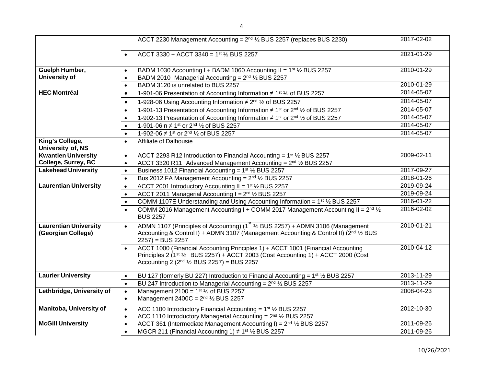|                                                    | ACCT 2230 Management Accounting = 2 <sup>nd</sup> 1/ <sub>2</sub> BUS 2257 (replaces BUS 2230)                                                                                                                                                           | 2017-02-02 |
|----------------------------------------------------|----------------------------------------------------------------------------------------------------------------------------------------------------------------------------------------------------------------------------------------------------------|------------|
|                                                    | ACCT 3330 + ACCT 3340 = $1^{st}$ $\frac{1}{2}$ BUS 2257<br>$\bullet$                                                                                                                                                                                     | 2021-01-29 |
| Guelph Humber,<br><b>University of</b>             | BADM 1030 Accounting I + BADM 1060 Accounting II = 1 <sup>st</sup> 1/ <sub>2</sub> BUS 2257<br>$\bullet$<br>BADM 2010 Managerial Accounting = $2^{nd}$ $\frac{1}{2}$ BUS 2257<br>$\bullet$                                                               | 2010-01-29 |
|                                                    | BADM 3120 is unrelated to BUS 2257<br>$\bullet$                                                                                                                                                                                                          | 2010-01-29 |
| <b>HEC Montréal</b>                                | 1-901-06 Presentation of Accounting Information ≠ 1 <sup>st 1</sup> ⁄ <sub>2</sub> of BUS 2257<br>$\bullet$                                                                                                                                              | 2014-05-07 |
|                                                    | 1-928-06 Using Accounting Information ≠ 2 <sup>nd</sup> 1/ <sub>2</sub> of BUS 2257<br>$\bullet$                                                                                                                                                         | 2014-05-07 |
|                                                    | 1-901-13 Presentation of Accounting Information ≠ 1 <sup>st</sup> or 2 <sup>nd</sup> 1/2 of BUS 2257<br>$\bullet$                                                                                                                                        | 2014-05-07 |
|                                                    | 1-902-13 Presentation of Accounting Information ≠ 1 <sup>st</sup> or 2 <sup>nd</sup> 1/2 of BUS 2257<br>$\bullet$                                                                                                                                        | 2014-05-07 |
|                                                    | 1-901-06 n ≠ 1 <sup>st</sup> or 2 <sup>nd</sup> 1/ <sub>2</sub> of BUS 2257<br>$\bullet$                                                                                                                                                                 | 2014-05-07 |
|                                                    | 1-902-06 $\neq$ 1 <sup>st</sup> or 2 <sup>nd</sup> $\frac{1}{2}$ of BUS 2257<br>$\bullet$                                                                                                                                                                | 2014-05-07 |
| King's College,<br>University of, NS               | Affiliate of Dalhousie<br>$\bullet$                                                                                                                                                                                                                      |            |
| <b>Kwantlen University</b>                         | ACCT 2293 R12 Introduction to Financial Accounting = 1st 1/2 BUS 2257<br>$\bullet$                                                                                                                                                                       | 2009-02-11 |
| College, Surrey, BC                                | ACCT 3320 R11 Advanced Management Accounting = 2 <sup>nd</sup> 1/2 BUS 2257<br>$\bullet$                                                                                                                                                                 |            |
| <b>Lakehead University</b>                         | Business 1012 Financial Accounting = 1 <sup>st</sup> 1/ <sub>2</sub> BUS 2257<br>$\bullet$                                                                                                                                                               | 2017-09-27 |
|                                                    | Bus 2012 FA Management Accounting = $2nd$ $\frac{1}{2}$ BUS 2257<br>$\bullet$                                                                                                                                                                            | 2018-01-26 |
| <b>Laurentian University</b>                       | ACCT 2001 Introductory Accounting II = $1st$ 1/ <sub>2</sub> BUS 2257<br>$\bullet$                                                                                                                                                                       | 2019-09-24 |
|                                                    | ACCT 2011 Managerial Accounting I = 2nd 1/2 BUS 2257<br>$\bullet$                                                                                                                                                                                        | 2019-09-24 |
|                                                    | COMM 1107E Understanding and Using Accounting Information = $1^{st}$ % BUS 2257<br>$\bullet$                                                                                                                                                             | 2016-01-22 |
|                                                    | COMM 2016 Management Accounting I + COMM 2017 Management Accounting II = 2 <sup>nd</sup> 1/ <sub>2</sub><br>$\bullet$<br><b>BUS 2257</b>                                                                                                                 | 2016-02-02 |
| <b>Laurentian University</b><br>(Georgian College) | ADMN 1107 (Principles of Accounting) (1st 1/2 BUS 2257) + ADMN 3106 (Management<br>$\bullet$<br>Accounting & Control I) + ADMN 3107 (Management Accounting & Control II) (2nd 1/2 BUS<br>$2257$ ) = BUS 2257                                             | 2010-01-21 |
|                                                    | ACCT 1000 (Financial Accounting Principles 1) + ACCT 1001 (Financial Accounting<br>$\bullet$<br>Principles 2 (1st $\frac{1}{2}$ BUS 2257) + ACCT 2003 (Cost Accounting 1) + ACCT 2000 (Cost<br>Accounting 2 ( $2nd$ 1/ <sub>2</sub> BUS 2257) = BUS 2257 | 2010-04-12 |
| <b>Laurier University</b>                          | BU 127 (formerly BU 227) Introduction to Financial Accounting = 1 <sup>st</sup> 1/ <sub>2</sub> BUS 2257<br>$\bullet$                                                                                                                                    | 2013-11-29 |
|                                                    | BU 247 Introduction to Managerial Accounting = $2^{nd}$ $\frac{1}{2}$ BUS 2257<br>$\bullet$                                                                                                                                                              | 2013-11-29 |
| Lethbridge, University of                          | Management 2100 = $1^{st}$ 1/2 of BUS 2257<br>$\bullet$                                                                                                                                                                                                  | 2008-04-23 |
|                                                    | Management 2400C = $2nd$ 1/ <sub>2</sub> BUS 2257<br>$\bullet$                                                                                                                                                                                           |            |
| <b>Manitoba, University of</b>                     | ACC 1100 Introductory Financial Accounting = $1st$ 1/ <sub>2</sub> BUS 2257<br>$\bullet$                                                                                                                                                                 | 2012-10-30 |
|                                                    | ACC 1110 Introductory Managerial Accounting = $2nd$ 1/ <sub>2</sub> BUS 2257<br>$\bullet$                                                                                                                                                                |            |
| <b>McGill University</b>                           | ACCT 361 (Intermediate Management Accounting I) = 2 <sup>nd</sup> 1/2 BUS 2257<br>$\bullet$                                                                                                                                                              | 2011-09-26 |
|                                                    | MGCR 211 (Financial Accounting 1) $\neq$ 1st 1/2 BUS 2257<br>$\bullet$                                                                                                                                                                                   | 2011-09-26 |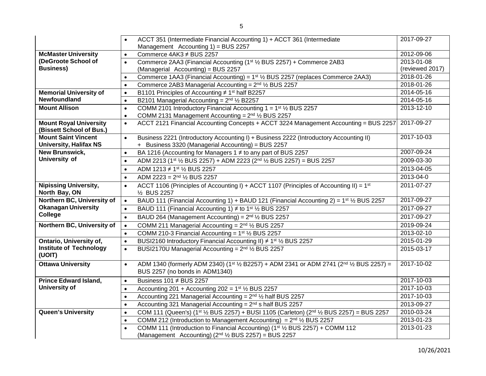|                                                             | ACCT 351 (Intermediate Financial Accounting 1) + ACCT 361 (Intermediate<br>$\bullet$                                                                      | 2017-09-27      |
|-------------------------------------------------------------|-----------------------------------------------------------------------------------------------------------------------------------------------------------|-----------------|
| Management Accounting 1) = BUS 2257                         |                                                                                                                                                           | 2012-09-06      |
| <b>McMaster University</b>                                  | Commerce 4AK3 ≠ BUS 2257<br>$\bullet$                                                                                                                     |                 |
| (DeGroote School of                                         | Commerce 2AA3 (Financial Accounting (1st 1/2 BUS 2257) + Commerce 2AB3<br>$\bullet$                                                                       | 2013-01-08      |
| <b>Business)</b>                                            | (Managerial Accounting) = BUS 2257                                                                                                                        | (reviewed 2017) |
|                                                             | Commerce 1AA3 (Financial Accounting) = 1 <sup>st</sup> 1/ <sub>2</sub> BUS 2257 (replaces Commerce 2AA3)<br>$\bullet$                                     | 2018-01-26      |
|                                                             | Commerce 2AB3 Managerial Accounting = $2nd$ 1/ <sub>2</sub> BUS 2257<br>$\bullet$                                                                         | 2018-01-26      |
| <b>Memorial University of</b>                               | B1101 Principles of Accounting ≠ 1 <sup>st</sup> half B2257<br>$\bullet$                                                                                  | 2014-05-16      |
| Newfoundland                                                | B2101 Managerial Accounting = $2^{nd}$ $\frac{1}{2}$ B2257<br>$\bullet$                                                                                   | 2014-05-16      |
| <b>Mount Allison</b>                                        | COMM 2101 Introductory Financial Accounting $1 = 1$ <sup>st</sup> $\frac{1}{2}$ BUS 2257<br>$\bullet$                                                     | 2013-12-10      |
|                                                             | COMM 2131 Management Accounting = $2nd$ $\frac{1}{2}$ BUS 2257<br>$\bullet$                                                                               |                 |
| <b>Mount Royal University</b><br>(Bissett School of Bus.)   | ACCT 2121 Financial Accounting Concepts + ACCT 3224 Management Accounting = BUS 2257<br>$\bullet$                                                         | 2017-09-27      |
| <b>Mount Saint Vincent</b><br><b>University, Halifax NS</b> | Business 2221 (Introductory Accounting I) + Business 2222 (Introductory Accounting II)<br>$\bullet$<br>+ Business 3320 (Managerial Accounting) = BUS 2257 | 2017-10-03      |
| <b>New Brunswick,</b>                                       | BA 1216 (Accounting for Managers 1 ≠ to any part of BUS 2257<br>$\bullet$                                                                                 | 2007-09-24      |
| University of                                               | ADM 2213 (1st 1/2 BUS 2257) + ADM 2223 (2nd 1/2 BUS 2257) = BUS 2257<br>$\bullet$                                                                         | 2009-03-30      |
|                                                             | ADM 1213 ≠ 1st 1/2 BUS 2257<br>$\bullet$                                                                                                                  | 2013-04-05      |
|                                                             | ADM 2223 = $2^{nd}$ $\frac{1}{2}$ BUS 2257<br>$\bullet$                                                                                                   | 2013-04-0       |
| <b>Nipissing University,</b><br>North Bay, ON               | ACCT 1106 (Principles of Accounting I) + ACCT 1107 (Principles of Accounting II) = $1st$<br>$\bullet$<br>1/2 BUS 2257                                     | 2011-07-27      |
| Northern BC, University of                                  | $\bullet$<br>BAUD 111 (Financial Accounting 1) + BAUD 121 (Financial Accounting 2) = $1^{st}$ 1/2 BUS 2257                                                | 2017-09-27      |
| <b>Okanagan University</b>                                  | BAUD 111 (Financial Accounting 1) $\neq$ to 1 <sup>st</sup> 1/ <sub>2</sub> BUS 2257<br>$\bullet$                                                         | 2017-09-27      |
| <b>College</b>                                              | BAUD 264 (Management Accounting) = 2 <sup>nd</sup> 1/ <sub>2</sub> BUS 2257<br>$\bullet$                                                                  | 2017-09-27      |
| Northern BC, University of                                  | COMM 211 Managerial Accounting = $2^{nd}$ $\frac{1}{2}$ BUS 2257<br>$\bullet$                                                                             | 2019-09-24      |
|                                                             | COMM 210-3 Financial Accounting = $1st$ 1/ <sub>2</sub> BUS 2257<br>$\bullet$                                                                             | 2013-02-10      |
| <b>Ontario, University of,</b>                              | BUSI2160 Introductory Financial Accounting II) ≠ 1 <sup>st</sup> 1/ <sub>2</sub> BUS 2257<br>$\bullet$                                                    | 2015-01-29      |
| <b>Institute of Technology</b><br>(UOIT)                    | BUSI2170U Managerial Accounting = $2nd$ 1/ <sub>2</sub> BUS 2257<br>$\bullet$                                                                             | 2015-03-17      |
| <b>Ottawa University</b>                                    | ADM 1340 (formerly ADM 2340) (1st 1/2 B2257) + ADM 2341 or ADM 2741 (2nd 1/2 BUS 2257) =<br>$\bullet$<br>BUS 2257 (no bonds in ADM1340)                   | 2017-10-02      |
| <b>Prince Edward Island,</b>                                | Business 101 ≠ BUS 2257<br>$\bullet$                                                                                                                      | 2017-10-03      |
| <b>University of</b>                                        | Accounting 201 + Accounting 202 = $1^{st}$ 1/ <sub>2</sub> BUS 2257<br>$\bullet$                                                                          | 2017-10-03      |
|                                                             | Accounting 221 Managerial Accounting = $2^{nd}$ 1/ <sub>2</sub> half BUS 2257<br>$\bullet$                                                                | 2017-10-03      |
|                                                             | Accounting 321 Managerial Accounting = $2nd$ s half BUS 2257<br>$\bullet$                                                                                 | 2013-09-27      |
| <b>Queen's University</b>                                   | COM 111 (Queen's) (1 <sup>st</sup> 1/2 BUS 2257) + BUSI 1105 (Carleton) ( $2nd$ 1/2 BUS 2257) = BUS 2257<br>$\bullet$                                     | 2010-03-24      |
|                                                             | COMM 212 (Introduction to Management Accounting) = $2^{nd}$ 1/2 BUS 2257<br>$\bullet$                                                                     | 2013-01-23      |
|                                                             | COMM 111 (Introduction to Financial Accounting) (1 <sup>st</sup> 1/ <sub>2</sub> BUS 2257) + COMM 112<br>$\bullet$                                        | 2013-01-23      |
|                                                             | (Management Accounting) (2 <sup>nd 1</sup> / <sub>2</sub> BUS 2257) = BUS 2257                                                                            |                 |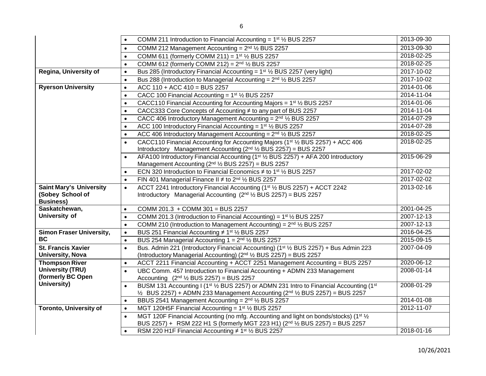|                                                                        | COMM 211 Introduction to Financial Accounting = $1st$ 1/ <sub>2</sub> BUS 2257<br>$\bullet$                                                                                                                                                         | 2013-09-30 |
|------------------------------------------------------------------------|-----------------------------------------------------------------------------------------------------------------------------------------------------------------------------------------------------------------------------------------------------|------------|
|                                                                        | COMM 212 Management Accounting = $2nd$ 1/ <sub>2</sub> BUS 2257<br>$\bullet$                                                                                                                                                                        | 2013-09-30 |
|                                                                        | COMM 611 (formerly COMM 211) = $1^{st}$ 1/ <sub>2</sub> BUS 2257<br>$\bullet$                                                                                                                                                                       | 2018-02-25 |
|                                                                        | COMM 612 (formerly COMM 212) = $2^{nd}$ 1/ <sub>2</sub> BUS 2257<br>$\bullet$                                                                                                                                                                       | 2018-02-25 |
| Regina, University of                                                  | Bus 285 (Introductory Financial Accounting = $1st$ 1/2 BUS 2257 (very light)<br>$\bullet$                                                                                                                                                           | 2017-10-02 |
|                                                                        | Bus 288 (Introduction to Managerial Accounting = $2^{nd}$ $\frac{1}{2}$ BUS 2257<br>$\bullet$                                                                                                                                                       | 2017-10-02 |
| <b>Ryerson University</b>                                              | $ACC 110 + ACC 410 = BUS 2257$<br>$\bullet$                                                                                                                                                                                                         | 2014-01-06 |
|                                                                        | CACC 100 Financial Accounting = $1st$ 1/ <sub>2</sub> BUS 2257<br>$\bullet$                                                                                                                                                                         | 2014-11-04 |
|                                                                        | CACC110 Financial Accounting for Accounting Majors = $1st$ % BUS 2257<br>$\bullet$                                                                                                                                                                  | 2014-01-06 |
|                                                                        | CACC333 Core Concepts of Accounting ≠ to any part of BUS 2257<br>$\bullet$                                                                                                                                                                          | 2014-11-04 |
|                                                                        | CACC 406 Introductory Management Accounting = $2nd$ 1/2 BUS 2257                                                                                                                                                                                    | 2014-07-29 |
|                                                                        | ACC 100 Introductory Financial Accounting = 1 <sup>st</sup> 1/2 BUS 2257<br>$\bullet$                                                                                                                                                               | 2014-07-28 |
|                                                                        | ACC 406 Introductory Management Accounting = 2 <sup>nd</sup> 1/2 BUS 2257<br>$\bullet$                                                                                                                                                              | 2018-02-25 |
|                                                                        | CACC110 Financial Accounting for Accounting Majors (1 <sup>st</sup> 1/ <sub>2</sub> BUS 2257) + ACC 406<br>Introductory Management Accounting $(2^{nd}$ $\frac{1}{2}$ BUS 2257) = BUS 2257                                                          | 2018-02-25 |
|                                                                        | AFA100 Introductory Financial Accounting (1 <sup>st</sup> 1/2 BUS 2257) + AFA 200 Introductory<br>$\bullet$<br>Management Accounting (2nd 1/2 BUS 2257) = BUS 2257                                                                                  | 2015-06-29 |
|                                                                        | ECN 320 Introduction to Financial Economics $\neq$ to 1 <sup>st</sup> 1/ <sub>2</sub> BUS 2257                                                                                                                                                      | 2017-02-02 |
|                                                                        | FIN 401 Managerial Finance II $\neq$ to 2 <sup>nd</sup> $\frac{1}{2}$ BUS 2257<br>$\bullet$                                                                                                                                                         | 2017-02-02 |
| <b>Saint Mary's University</b><br>(Sobey School of<br><b>Business)</b> | ACCT 2241 Introductory Financial Accounting (1 <sup>st</sup> 1/2 BUS 2257) + ACCT 2242<br>$\bullet$<br>Introductory Managerial Accounting (2 <sup>nd 1</sup> / <sub>2</sub> BUS 2257) = BUS 2257                                                    | 2013-02-16 |
| Saskatchewan,                                                          | COMM 201.3 + COMM 301 = BUS 2257<br>$\bullet$                                                                                                                                                                                                       | 2001-04-25 |
| University of                                                          | COMM 201.3 (Introduction to Financial Accounting) = $1st$ 1/ <sub>2</sub> BUS 2257<br>$\bullet$                                                                                                                                                     | 2007-12-13 |
|                                                                        | COMM 210 (Introduction to Management Accounting) = $2nd$ 1/ <sub>2</sub> BUS 2257<br>$\bullet$                                                                                                                                                      | 2007-12-13 |
| <b>Simon Fraser University,</b>                                        | BUS 251 Financial Accounting ≠ 1 <sup>st</sup> 1/ <sub>2</sub> BUS 2257<br>$\bullet$                                                                                                                                                                | 2016-04-25 |
| BC.                                                                    | BUS 254 Managerial Accounting $1 = 2^{nd}$ % BUS 2257<br>$\bullet$                                                                                                                                                                                  | 2015-09-15 |
| <b>St. Francis Xavier</b><br><b>University, Nova</b>                   | Bus. Admin 221 (Introductory Financial Accounting) (1 <sup>st</sup> 1/ <sub>2</sub> BUS 2257) + Bus Admin 223<br>$\bullet$<br>(Introductory Managerial Accounting) (2 <sup>nd</sup> 1/ <sub>2</sub> BUS 2257) = BUS 2257                            | 2007-04-09 |
| <b>Thompson River</b>                                                  | ACCT 2211 Financial Accounting + ACCT 2251 Management Accounting = BUS 2257<br>$\bullet$                                                                                                                                                            | 2020-06-12 |
| <b>University (TRU)</b>                                                | UBC Comm. 457 Introduction to Financial Accounting + ADMN 233 Management<br>$\bullet$                                                                                                                                                               | 2008-01-14 |
| (formerly BC Open                                                      | Accounting $(2^{nd}$ $\frac{1}{2}$ BUS 2257) = BUS 2257                                                                                                                                                                                             |            |
| University)                                                            | BUSM 131 Accounting I (1 <sup>st 1</sup> / <sub>2</sub> BUS 2257) or ADMN 231 Intro to Financial Accounting (1 <sup>st</sup><br>$\bullet$<br>$\frac{1}{2}$ BUS 2257) + ADMN 233 Management Accounting ( $2^{nd}$ $\frac{1}{2}$ BUS 2257) = BUS 2257 | 2008-01-29 |
|                                                                        | BBUS 2541 Management Accounting = 2 <sup>nd</sup> 1/ <sub>2</sub> BUS 2257<br>$\bullet$                                                                                                                                                             | 2014-01-08 |
| <b>Toronto, University of</b>                                          | MGT 120H5F Financial Accounting = $1st$ 1/ <sub>2</sub> BUS 2257<br>$\bullet$                                                                                                                                                                       | 2012-11-07 |
|                                                                        | MGT 120F Financial Accounting (no mfg. Accounting and light on bonds/stocks) (1 <sup>st 1</sup> / <sub>2</sub><br>$\bullet$<br>BUS 2257) + RSM 222 H1 S (formerly MGT 223 H1) (2nd 1/2 BUS 2257) = BUS 2257                                         |            |
|                                                                        | RSM 220 H1F Financial Accounting $\neq$ 1 <sup>st</sup> 1/ <sub>2</sub> BUS 2257<br>$\bullet$                                                                                                                                                       | 2018-01-16 |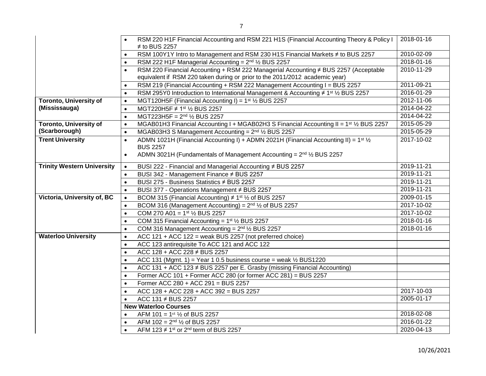|                                   | RSM 220 H1F Financial Accounting and RSM 221 H1S (Financial Accounting Theory & Policy I                                | 2018-01-16       |  |  |
|-----------------------------------|-------------------------------------------------------------------------------------------------------------------------|------------------|--|--|
|                                   | $\neq$ to BUS 2257                                                                                                      |                  |  |  |
|                                   | RSM 100Y1Y Intro to Management and RSM 230 H1S Financial Markets ≠ to BUS 2257<br>2010-02-09<br>$\bullet$               |                  |  |  |
|                                   | 2018-01-16<br>RSM 222 H1F Managerial Accounting = $2nd$ $\frac{1}{2}$ BUS 2257<br>$\bullet$                             |                  |  |  |
|                                   | RSM 220 Financial Accounting + RSM 222 Managerial Accounting ≠ BUS 2257 (Acceptable                                     | 2010-11-29       |  |  |
|                                   | equivalent if RSM 220 taken during or prior to the 2011/2012 academic year)                                             |                  |  |  |
|                                   | RSM 219 (Financial Accounting + RSM 222 Management Accounting I = BUS 2257<br>$\bullet$                                 | 2011-09-21       |  |  |
|                                   | RSM 295Y0 Introduction to International Management & Accounting ≠ 1 <sup>st</sup> 1/ <sub>2</sub> BUS 2257<br>$\bullet$ | 2016-01-29       |  |  |
| <b>Toronto, University of</b>     | MGT120H5F (Financial Accounting I) = $1st$ 1/ <sub>2</sub> BUS 2257<br>$\bullet$                                        | 2012-11-06       |  |  |
| (Mississauga)                     | MGT220H5F ≠ 1st ½ BUS 2257<br>$\bullet$                                                                                 | 2014-04-22       |  |  |
|                                   | MGT223H5F = $2^{nd}$ $\frac{1}{2}$ BUS 2257<br>$\bullet$                                                                | 2014-04-22       |  |  |
| <b>Toronto, University of</b>     | MGAB01H3 Financial Accounting I + MGAB02H3 S Financial Accounting II = $1^{st}$ 1/2 BUS 2257<br>$\bullet$               | 2015-05-29       |  |  |
| (Scarborough)                     | MGAB03H3 S Management Accounting = $2nd$ 1/ <sub>2</sub> BUS 2257<br>$\bullet$                                          | 2015-05-29       |  |  |
| <b>Trent University</b>           | ADMN 1021H (Financial Accounting I) + ADMN 2021H (Financial Accounting II) = $1^{st}$ 1/ <sub>2</sub><br>$\bullet$      | 2017-10-02       |  |  |
|                                   | <b>BUS 2257</b>                                                                                                         |                  |  |  |
|                                   | ADMN 3021H (Fundamentals of Management Accounting = 2 <sup>nd</sup> 1/2 BUS 2257<br>$\bullet$                           |                  |  |  |
| <b>Trinity Western University</b> | BUSI 222 - Financial and Managerial Accounting ≠ BUS 2257<br>$\bullet$                                                  | 2019-11-21       |  |  |
|                                   | BUSI 342 - Management Finance # BUS 2257<br>$\bullet$                                                                   | 2019-11-21       |  |  |
|                                   | BUSI 275 - Business Statistics # BUS 2257<br>$\bullet$                                                                  | 2019-11-21       |  |  |
|                                   | BUSI 377 - Operations Management # BUS 2257<br>$\bullet$                                                                | $2019 - 11 - 21$ |  |  |
| Victoria, University of, BC       | BCOM 315 (Financial Accounting) $\neq$ 1 <sup>st</sup> $\frac{1}{2}$ of BUS 2257<br>$\bullet$                           | $2009 - 01 - 15$ |  |  |
|                                   | BCOM 316 (Management Accounting) = $2^{nd}$ $\frac{1}{2}$ of BUS 2257                                                   | 2017-10-02       |  |  |
|                                   | COM 270 A01 = $1^{st}$ $\frac{1}{2}$ BUS 2257<br>$\bullet$                                                              | $2017 - 10 - 02$ |  |  |
|                                   | COM 315 Financial Accounting = $1st$ 1/ <sub>2</sub> BUS 2257<br>$\bullet$                                              | 2018-01-16       |  |  |
|                                   | COM 316 Management Accounting = $2^{nd}$ 1/2 BUS 2257<br>$\bullet$                                                      | 2018-01-16       |  |  |
| <b>Waterloo University</b>        | ACC 121 + ACC 122 = weak BUS 2257 (not preferred choice)<br>$\bullet$                                                   |                  |  |  |
|                                   | ACC 123 antirequisite To ACC 121 and ACC 122<br>$\bullet$                                                               |                  |  |  |
|                                   | ACC $128 + ACC$ 228 $\neq$ BUS 2257<br>$\bullet$                                                                        |                  |  |  |
|                                   | ACC 131 (Mgmt. 1) = Year 1 0.5 business course = weak $\frac{1}{2}$ BUS1220<br>$\bullet$                                |                  |  |  |
|                                   | ACC 131 + ACC 123 ≠ BUS 2257 per E. Grasby (missing Financial Accounting)<br>$\bullet$                                  |                  |  |  |
|                                   | Former ACC 101 + Former ACC 280 (or former ACC 281) = BUS 2257<br>$\bullet$                                             |                  |  |  |
|                                   | Former ACC 280 + ACC 291 = BUS 2257<br>$\bullet$                                                                        |                  |  |  |
|                                   | ACC 128 + ACC 228 + ACC 392 = BUS 2257<br>$\bullet$                                                                     | 2017-10-03       |  |  |
|                                   | ACC 131 ≠ BUS 2257                                                                                                      | 2005-01-17       |  |  |
|                                   | <b>New Waterloo Courses</b>                                                                                             |                  |  |  |
|                                   | AFM 101 = $1st$ $\frac{1}{2}$ of BUS 2257                                                                               | 2018-02-08       |  |  |
|                                   | AFM 102 = $2^{nd}$ $\frac{1}{2}$ of BUS 2257                                                                            | 2016-01-22       |  |  |
|                                   | AFM 123 $\neq$ 1st or 2 <sup>nd</sup> term of BUS 2257                                                                  | 2020-04-13       |  |  |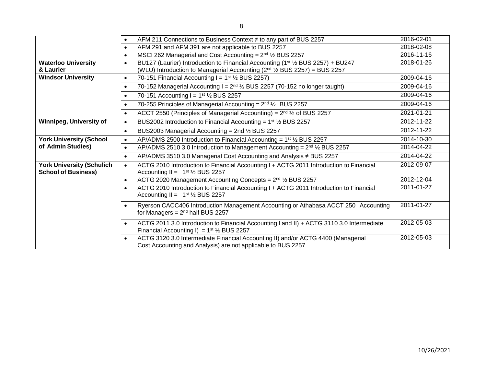|                                                                | AFM 211 Connections to Business Context ≠ to any part of BUS 2257<br>$\bullet$                                                                                                                    | 2016-02-01 |
|----------------------------------------------------------------|---------------------------------------------------------------------------------------------------------------------------------------------------------------------------------------------------|------------|
|                                                                | AFM 291 and AFM 391 are not applicable to BUS 2257<br>$\bullet$                                                                                                                                   | 2018-02-08 |
|                                                                | MSCI 262 Managerial and Cost Accounting = $2nd$ 1/ <sub>2</sub> BUS 2257<br>$\bullet$                                                                                                             | 2016-11-16 |
| <b>Waterloo University</b><br>& Laurier                        | BU127 (Laurier) Introduction to Financial Accounting (1st 1/2 BUS 2257) + BU247<br>$\bullet$<br>(WLU) Introduction to Managerial Accounting (2 <sup>nd</sup> 1/ <sub>2</sub> BUS 2257) = BUS 2257 | 2018-01-26 |
| <b>Windsor University</b>                                      | 70-151 Financial Accounting $I = 1st$ 1/ <sub>2</sub> BUS 2257)<br>$\bullet$                                                                                                                      | 2009-04-16 |
|                                                                | 70-152 Managerial Accounting $I = 2^{nd}$ % BUS 2257 (70-152 no longer taught)<br>$\bullet$                                                                                                       | 2009-04-16 |
|                                                                | 70-151 Accounting $I = 1st$ 1/ <sub>2</sub> BUS 2257<br>$\bullet$                                                                                                                                 | 2009-04-16 |
|                                                                | 70-255 Principles of Managerial Accounting = $2^{nd}$ $\frac{1}{2}$ BUS 2257<br>$\bullet$                                                                                                         | 2009-04-16 |
|                                                                | ACCT 2550 (Principles of Managerial Accounting) = $2^{nd}$ $\frac{1}{2}$ of BUS 2257<br>$\bullet$                                                                                                 | 2021-01-21 |
| <b>Winnipeg, University of</b>                                 | BUS2002 Introduction to Financial Accounting = $1st$ 1/ <sub>2</sub> BUS 2257<br>$\bullet$                                                                                                        | 2012-11-22 |
|                                                                | BUS2003 Managerial Accounting = 2nd 1/2 BUS 2257<br>$\bullet$                                                                                                                                     | 2012-11-22 |
| <b>York University (School</b>                                 | AP/ADMS 2500 Introduction to Financial Accounting = $1st$ 1/ <sub>2</sub> BUS 2257<br>$\bullet$                                                                                                   | 2014-10-30 |
| of Admin Studies)                                              | AP/ADMS 2510 3.0 Introduction to Management Accounting = 2 <sup>nd</sup> 1/2 BUS 2257<br>$\bullet$                                                                                                | 2014-04-22 |
|                                                                | AP/ADMS 3510 3.0 Managerial Cost Accounting and Analysis ≠ BUS 2257<br>$\bullet$                                                                                                                  | 2014-04-22 |
| <b>York University (Schulich</b><br><b>School of Business)</b> | ACTG 2010 Introduction to Financial Accounting I + ACTG 2011 Introduction to Financial<br>$\bullet$<br>Accounting II = $1st$ 1/ <sub>2</sub> BUS 2257                                             | 2012-09-07 |
|                                                                | ACTG 2020 Management Accounting Concepts = $2^{nd}$ $\frac{1}{2}$ BUS 2257<br>$\bullet$                                                                                                           | 2012-12-04 |
|                                                                | ACTG 2010 Introduction to Financial Accounting I + ACTG 2011 Introduction to Financial<br>$\bullet$<br>Accounting II = $1st$ 1/ <sub>2</sub> BUS 2257                                             | 2011-01-27 |
|                                                                | Ryerson CACC406 Introduction Management Accounting or Athabasa ACCT 250 Accounting<br>$\bullet$<br>for Managers = $2nd$ half BUS 2257                                                             | 2011-01-27 |
|                                                                | ACTG 2011 3.0 Introduction to Financial Accounting I and II) + ACTG 3110 3.0 Intermediate<br>$\bullet$<br>Financial Accounting I) = $1^{st}$ 1/ <sub>2</sub> BUS 2257                             | 2012-05-03 |
|                                                                | ACTG 3120 3.0 Intermediate Financial Accounting II) and/or ACTG 4400 (Managerial<br>$\bullet$<br>Cost Accounting and Analysis) are not applicable to BUS 2257                                     | 2012-05-03 |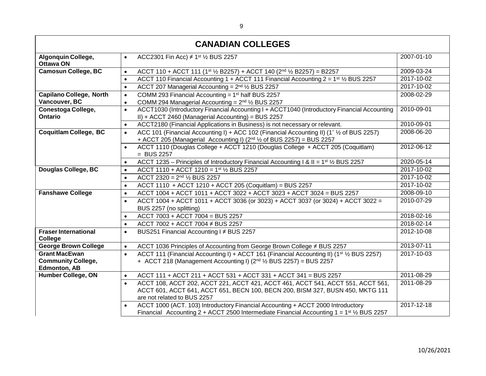| <b>CANADIAN COLLEGES</b>               |                                                                                                                                                                                |            |
|----------------------------------------|--------------------------------------------------------------------------------------------------------------------------------------------------------------------------------|------------|
| Algonquin College,<br><b>Ottawa ON</b> | ACC2301 Fin Acc) $\neq$ 1st 1/2 BUS 2257<br>$\bullet$                                                                                                                          | 2007-01-10 |
| <b>Camosun College, BC</b>             | ACCT 110 + ACCT 111 (1st 1/2 B2257) + ACCT 140 (2nd 1/2 B2257) = B2257<br>$\bullet$                                                                                            | 2009-03-24 |
|                                        | ACCT 110 Financial Accounting 1 + ACCT 111 Financial Accounting $2 = 1^{st}$ 1/2 BUS 2257<br>$\bullet$                                                                         | 2017-10-02 |
|                                        | ACCT 207 Managerial Accounting = $2nd$ 1/ <sub>2</sub> BUS 2257<br>$\bullet$                                                                                                   | 2017-10-02 |
| <b>Capilano College, North</b>         | COMM 293 Financial Accounting = $1st$ half BUS 2257<br>$\bullet$                                                                                                               | 2008-02-29 |
| Vancouver, BC                          | COMM 294 Managerial Accounting = $2nd$ 1/ <sub>2</sub> BUS 2257<br>$\bullet$                                                                                                   |            |
| Conestoga College,                     | ACCT1030 (Introductory Financial Accounting I + ACCT1040 (Introductory Financial Accounting<br>$\bullet$                                                                       | 2010-09-01 |
| <b>Ontario</b>                         | II) + ACCT 2460 (Managerial Accounting) = BUS 2257                                                                                                                             |            |
|                                        | ACCT2180 (Financial Applications in Business) is not necessary or relevant.<br>$\bullet$                                                                                       | 2010-09-01 |
| <b>Coquitlam College, BC</b>           | ACC 101 (Financial Accounting I) + ACC 102 (Financial Accounting II) (1 <sup>*</sup> 1/ <sub>2</sub> of BUS 2257)<br>$\bullet$                                                 | 2008-06-20 |
|                                        | + ACCT 205 (Managerial Accounting I) ( $2^{nd}$ $\frac{1}{2}$ of BUS 2257) = BUS 2257                                                                                          |            |
|                                        | ACCT 1110 (Douglas College + ACCT 1210 (Douglas College + ACCT 205 (Coquitlam)<br>$\bullet$<br>$=$ BUS 2257                                                                    | 2012-06-12 |
|                                        | ACCT 1235 - Principles of Introductory Financial Accounting I & II = 1 <sup>st</sup> 1/ <sub>2</sub> BUS 2257                                                                  | 2020-05-14 |
| <b>Douglas College, BC</b>             | $\bullet$<br>ACCT 1110 + ACCT 1210 = 1st 1/2 BUS 2257                                                                                                                          | 2017-10-02 |
|                                        | $\bullet$<br>ACCT 2320 = $2^{nd}$ $\frac{1}{2}$ BUS 2257                                                                                                                       | 2017-10-02 |
|                                        | $\bullet$                                                                                                                                                                      | 2017-10-02 |
| <b>Fanshawe College</b>                | ACCT 1110 + ACCT 1210 + ACCT 205 (Coquitlam) = BUS 2257<br>$\bullet$<br>ACCT 1004 + ACCT 1011 + ACCT 3022 + ACCT 3023 + ACCT 3024 = BUS 2257                                   | 2008-09-10 |
|                                        | $\bullet$                                                                                                                                                                      |            |
|                                        | ACCT 1004 + ACCT 1011 + ACCT 3036 (or 3023) + ACCT 3037 (or 3024) + ACCT 3022 =<br>$\bullet$<br>BUS 2257 (no splitting)                                                        | 2010-07-29 |
|                                        | ACCT 7003 + ACCT 7004 = BUS 2257<br>$\bullet$                                                                                                                                  | 2018-02-16 |
|                                        | ACCT 7002 + ACCT 7004 ≠ BUS 2257<br>$\bullet$                                                                                                                                  | 2018-02-14 |
| <b>Fraser International</b>            | BUS251 Financial Accounting I ≠ BUS 2257<br>$\bullet$                                                                                                                          | 2012-10-08 |
| College                                |                                                                                                                                                                                |            |
| <b>George Brown College</b>            | ACCT 1036 Principles of Accounting from George Brown College ≠ BUS 2257<br>$\bullet$                                                                                           | 2013-07-11 |
| <b>Grant MacEwan</b>                   | ACCT 111 (Financial Accounting I) + ACCT 161 (Financial Accounting II) (1 <sup>st</sup> 1/2 BUS 2257)<br>$\bullet$                                                             | 2017-10-03 |
| <b>Community College,</b>              | + ACCT 218 (Management Accounting I) (2nd 1/2 BUS 2257) = BUS 2257                                                                                                             |            |
| <b>Edmonton, AB</b>                    | ACCT 111 + ACCT 211 + ACCT 531 + ACCT 331 + ACCT 341 = BUS 2257                                                                                                                | 2011-08-29 |
| <b>Humber College, ON</b>              | $\bullet$                                                                                                                                                                      |            |
|                                        | ACCT 108, ACCT 202, ACCT 221, ACCT 421, ACCT 461, ACCT 541, ACCT 551, ACCT 561,<br>$\bullet$<br>ACCT 601, ACCT 641, ACCT 651, BECN 100, BECN 200, BISM 327, BUSN 450, MKTG 111 | 2011-08-29 |
|                                        | are not related to BUS 2257                                                                                                                                                    |            |
|                                        | ACCT 1000 (ACT. 103) Introductory Financial Accounting + ACCT 2000 Introductory<br>$\bullet$                                                                                   | 2017-12-18 |
|                                        | Financial Accounting 2 + ACCT 2500 Intermediate Financial Accounting 1 = $1st$ / <sub>2</sub> BUS 2257                                                                         |            |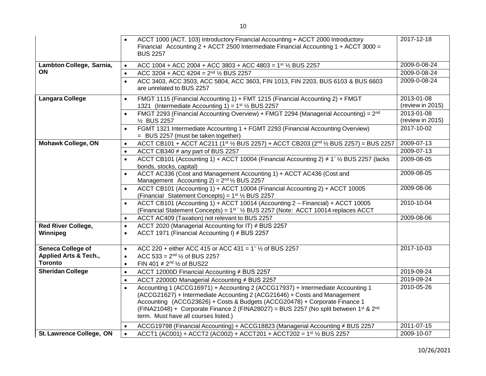|                                       | ACCT 1000 (ACT. 103) Introductory Financial Accounting + ACCT 2000 Introductory<br>Financial Accounting 2 + ACCT 2500 Intermediate Financial Accounting $1 +$ ACCT 3000 =                                                                                                                                                                                                               | 2017-12-18                     |
|---------------------------------------|-----------------------------------------------------------------------------------------------------------------------------------------------------------------------------------------------------------------------------------------------------------------------------------------------------------------------------------------------------------------------------------------|--------------------------------|
|                                       | <b>BUS 2257</b>                                                                                                                                                                                                                                                                                                                                                                         |                                |
| Lambton College, Sarnia,              | ACC 1004 + ACC 2004 + ACC 3803 + ACC 4803 = 1 <sup>st</sup> 1/2 BUS 2257<br>$\bullet$                                                                                                                                                                                                                                                                                                   | 2009-0-08-24                   |
| ON                                    | ACC 3204 + ACC 4204 = $2^{nd}$ $\frac{1}{2}$ BUS 2257<br>$\bullet$                                                                                                                                                                                                                                                                                                                      | 2009-0-08-24                   |
|                                       | ACC 3403, ACC 3503, ACC 5804, ACC 3603, FIN 1013, FIN 2203, BUS 6103 & BUS 6603<br>$\bullet$<br>are unrelated to BUS 2257                                                                                                                                                                                                                                                               | 2009-0-08-24                   |
| <b>Langara College</b>                | FMGT 1115 (Financial Accounting 1) + FMT 1215 (Financial Accounting 2) + FMGT<br>$\bullet$<br>1321 (Intermediate Accounting 1) = $1^{st}$ 1/ <sub>2</sub> BUS 2257                                                                                                                                                                                                                      | 2013-01-08<br>(review in 2015) |
|                                       | FMGT 2293 (Financial Accounting Overview) + FMGT 2294 (Managerial Accounting) = 2 <sup>nd</sup><br>$\bullet$<br>1/ <sub>2</sub> BUS 2257                                                                                                                                                                                                                                                | 2013-01-08<br>(review in 2015) |
|                                       | FGMT 1321 Intermediate Accounting 1 + FGMT 2293 (Financial Accounting Overview)<br>$\bullet$<br>= BUS 2257 (must be taken together)                                                                                                                                                                                                                                                     | 2017-10-02                     |
| <b>Mohawk College, ON</b>             | ACCT CB101 + ACCT AC211 (1st 1/2 BUS 2257) + ACCT CB203 (2nd 1/2 BUS 2257) = BUS 2257<br>$\bullet$                                                                                                                                                                                                                                                                                      | 2009-07-13                     |
|                                       | ACCT CB340 ≠ any part of BUS 2257<br>$\bullet$                                                                                                                                                                                                                                                                                                                                          | $2009 - 07 - 13$               |
|                                       | ACCT CB101 (Accounting 1) + ACCT 10004 (Financial Accounting 2) $\neq$ 1 <sup>*</sup> 1/ <sub>2</sub> BUS 2257 (lacks<br>$\bullet$<br>bonds, stocks, capital)                                                                                                                                                                                                                           | 2009-08-05                     |
|                                       | ACCT AC336 (Cost and Management Accounting 1) + ACCT AC436 (Cost and<br>$\bullet$<br>Management Accounting $2$ ) = $2^{nd}$ 1/ <sub>2</sub> BUS 2257                                                                                                                                                                                                                                    | 2009-08-05                     |
|                                       | ACCT CB101 (Accounting 1) + ACCT 10004 (Financial Accounting 2) + ACCT 10005<br>(Financial Statement Concepts) = $1^{st}$ 1/ <sub>2</sub> BUS 2257                                                                                                                                                                                                                                      | 2009-08-06                     |
|                                       | ACCT CB101 (Accounting 1) + ACCT 10014 (Accounting 2 - Financial) + ACCT 10005<br>(Financial Statement Concepts) = 1 <sup>st '</sup> 1/ <sub>2</sub> BUS 2257 (Note: ACCT 10014 replaces ACCT                                                                                                                                                                                           | 2010-10-04                     |
|                                       | ACCT AC409 (Taxation) not relevant to BUS 2257<br>$\bullet$                                                                                                                                                                                                                                                                                                                             | 2009-08-06                     |
| <b>Red River College,</b><br>Winnipeg | ACCT 2020 (Managerial Accounting for IT) ≠ BUS 2257<br>$\bullet$<br>ACCT 1971 (Financial Accounting I) ≠ BUS 2257<br>$\bullet$                                                                                                                                                                                                                                                          |                                |
| <b>Seneca College of</b>              | ACC 220 + either ACC 415 or ACC 431 = $1^{\circ}$ 1/2 of BUS 2257<br>$\bullet$                                                                                                                                                                                                                                                                                                          | 2017-10-03                     |
| <b>Applied Arts &amp; Tech.,</b>      | ACC 533 = $2^{nd}$ $\frac{1}{2}$ of BUS 2257<br>$\bullet$                                                                                                                                                                                                                                                                                                                               |                                |
| <b>Toronto</b>                        | FIN 401 $\neq$ 2 <sup>nd</sup> $\frac{1}{2}$ of BUS22<br>$\bullet$                                                                                                                                                                                                                                                                                                                      |                                |
| <b>Sheridan College</b>               | ACCT 12000D Financial Accounting ≠ BUS 2257<br>$\bullet$                                                                                                                                                                                                                                                                                                                                | 2019-09-24                     |
|                                       | ACCT 22000D Managerial Accounting ≠ BUS 2257<br>$\bullet$                                                                                                                                                                                                                                                                                                                               | 2019-09-24                     |
|                                       | Accounting 1 (ACCG16971) + Accounting 2 (ACCG17937) + Intermediate Accounting 1<br>$\bullet$<br>(ACCG21627) + Intermediate Accounting 2 (ACG21646) + Costs and Management<br>Accounting (ACCG23626) + Costs & Budgets (ACCG20478) + Corporate Finance 1<br>(FINA21048) + Corporate Finance 2 (FINA28027) = BUS 2257 (No split between 1st & 2nd<br>term. Must have all courses listed.) | 2010-05-26                     |
|                                       | ACCG19798 (Financial Accounting) + ACCG18823 (Managerial Accounting ≠ BUS 2257<br>$\bullet$                                                                                                                                                                                                                                                                                             | 2011-07-15                     |
| St. Lawrence College, ON              | ACCT1 (AC001) + ACCT2 (AC002) + ACCT201 + ACCT202 = 1 <sup>st</sup> 1/2 BUS 2257<br>$\bullet$                                                                                                                                                                                                                                                                                           | 2009-10-07                     |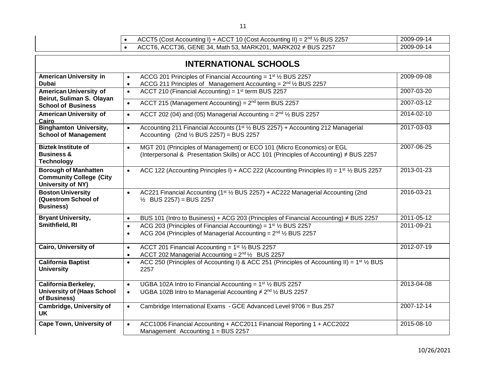| ٦<br>۰, | I |
|---------|---|
|         |   |
|         |   |

|   |  | ACCT5 (Cost Accounting I) + ACCT 10 (Cost Accounting II) = $2nd$ $\frac{1}{2}$ BUS 2257 | 2009-09-14 |
|---|--|-----------------------------------------------------------------------------------------|------------|
|   |  | ACCT6, ACCT36, GENE 34, Math 53, MARK201, MARK202 $\neq$ BUS 2257                       | 2009-09-14 |
|   |  |                                                                                         |            |
| P |  |                                                                                         |            |

| <b>INTERNATIONAL SCHOOLS</b>                                                              |                                                                                                                                                                                           |                  |  |
|-------------------------------------------------------------------------------------------|-------------------------------------------------------------------------------------------------------------------------------------------------------------------------------------------|------------------|--|
| <b>American University in</b><br><b>Dubai</b>                                             | ACCG 201 Principles of Financial Accounting = $1st$ 1/ <sub>2</sub> BUS 2257<br>$\bullet$<br>ACCG 211 Principles of Management Accounting = 2 <sup>nd</sup> 1/2 BUS 2257                  | 2009-09-08       |  |
| <b>American University of</b>                                                             | ACCT 210 (Financial Accounting) = $1st$ term BUS 2257<br>$\bullet$                                                                                                                        | 2007-03-20       |  |
| Beirut, Suliman S. Olayan<br><b>School of Business</b>                                    | ACCT 215 (Management Accounting) = $2nd$ term BUS 2257<br>$\bullet$                                                                                                                       | 2007-03-12       |  |
| <b>American University of</b><br>Cairo                                                    | ACCT 202 (04) and (05) Managerial Accounting = $2^{nd}$ $\frac{1}{2}$ BUS 2257<br>$\bullet$                                                                                               | 2014-02-10       |  |
| <b>Binghamton University,</b><br><b>School of Management</b>                              | Accounting 211 Financial Accounts (1 <sup>st</sup> 1/ <sub>2</sub> BUS 2257) + Accounting 212 Managerial<br>$\bullet$<br>Accounting $(2nd \frac{1}{2} BUS 2257) = BUS 2257$               | 2017-03-03       |  |
| <b>Biztek Institute of</b><br><b>Business &amp;</b><br><b>Technology</b>                  | MGT 201 (Principles of Management) or ECO 101 (Micro Economics) or EGL<br>$\bullet$<br>(Interpersonal & Presentation Skills) or ACC 101 (Principles of Accounting) $\neq$ BUS 2257        | 2007-06-25       |  |
| <b>Borough of Manhatten</b><br><b>Community College (City</b><br><b>University of NY)</b> | ACC 122 (Accounting Principles I) + ACC 222 (Accounting Principles II) = $1^{st}$ 1/2 BUS 2257<br>$\bullet$                                                                               | 2013-01-23       |  |
| <b>Boston University</b><br>(Questrom School of<br><b>Business)</b>                       | AC221 Financial Accounting (1st 1/2 BUS 2257) + AC222 Managerial Accounting (2nd<br>$\bullet$<br>$\frac{1}{2}$ BUS 2257) = BUS 2257                                                       | 2016-03-21       |  |
| <b>Bryant University,</b>                                                                 | BUS 101 (Intro to Business) + ACG 203 (Principles of Financial Accounting) $\neq$ BUS 2257<br>$\bullet$                                                                                   | $2011 - 05 - 12$ |  |
| Smithfield, RI                                                                            | ACG 203 (Principles of Financial Accounting) = $1st$ 1/ <sub>2</sub> BUS 2257<br>$\bullet$<br>ACG 204 (Principles of Managerial Accounting = $2^{nd}$ $\frac{1}{2}$ BUS 2257<br>$\bullet$ | 2011-09-21       |  |
| <b>Cairo, University of</b>                                                               | ACCT 201 Financial Accounting = $1st$ 1/ <sub>2</sub> BUS 2257<br>$\bullet$<br>ACCT 202 Managerial Accounting = 2 <sup>nd 1/2</sup> BUS 2257                                              | 2012-07-19       |  |
| <b>California Baptist</b><br><b>University</b>                                            | ACC 250 (Principles of Accounting I) & ACC 251 (Principles of Accounting II) = 1 <sup>st</sup> $\frac{1}{2}$ BUS<br>$\bullet$<br>2257                                                     |                  |  |
| <b>California Berkeley,</b>                                                               | UGBA 102A Intro to Financial Accounting = $1st$ 1/ <sub>2</sub> BUS 2257<br>$\bullet$                                                                                                     | 2013-04-08       |  |
| <b>University of (Haas School</b><br>of Business)                                         | UGBA 102B Intro to Managerial Accounting $\neq 2^{nd}$ 1/2 BUS 2257<br>$\bullet$                                                                                                          |                  |  |
| <b>Cambridge, University of</b><br>UK.                                                    | Cambridge International Exams - GCE Advanced Level 9706 = Bus.257<br>$\bullet$                                                                                                            | 2007-12-14       |  |
| <b>Cape Town, University of</b>                                                           | ACC1006 Financial Accounting + ACC2011 Financial Reporting 1 + ACC2022<br>Management Accounting 1 = BUS 2257                                                                              | 2015-08-10       |  |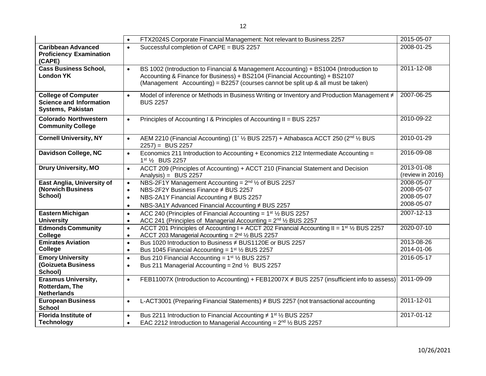|                                                                                   | FTX2024S Corporate Financial Management: Not relevant to Business 2257<br>$\bullet$                                                                                                                                                                                   | 2015-05-07                                           |
|-----------------------------------------------------------------------------------|-----------------------------------------------------------------------------------------------------------------------------------------------------------------------------------------------------------------------------------------------------------------------|------------------------------------------------------|
| <b>Caribbean Advanced</b><br><b>Proficiency Examination</b><br>(CAPE)             | Successful completion of CAPE = BUS 2257<br>$\bullet$                                                                                                                                                                                                                 | 2008-01-25                                           |
| <b>Cass Business School,</b><br><b>London YK</b>                                  | BS 1002 (Introduction to Financial & Management Accounting) + BS1004 (Introduction to<br>$\bullet$<br>Accounting & Finance for Business) + BS2104 (Financial Accounting) + BS2107<br>(Management Accounting) = B2257 (courses cannot be split up & all must be taken) | 2011-12-08                                           |
| <b>College of Computer</b><br><b>Science and Information</b><br>Systems, Pakistan | Model of inference or Methods in Business Writing or Inventory and Production Management ≠<br>$\bullet$<br><b>BUS 2257</b>                                                                                                                                            | 2007-06-25                                           |
| <b>Colorado Northwestern</b><br><b>Community College</b>                          | Principles of Accounting I & Principles of Accounting II = BUS 2257<br>$\bullet$                                                                                                                                                                                      | 2010-09-22                                           |
| <b>Cornell University, NY</b>                                                     | AEM 2210 (Financial Accounting) (1 <sup>*</sup> 1/ <sub>2</sub> BUS 2257) + Athabasca ACCT 250 (2 <sup>nd</sup> 1/ <sub>2</sub> BUS<br>$\bullet$<br>$2257$ ) = BUS 2257                                                                                               | 2010-01-29                                           |
| Davidson College, NC                                                              | Economics 211 Introduction to Accounting + Economics 212 Intermediate Accounting =<br>$\bullet$<br>1st 1/2 BUS 2257                                                                                                                                                   | 2016-09-08                                           |
| <b>Drury University, MO</b>                                                       | ACCT 209 (Principles of Accounting) + ACCT 210 (Financial Statement and Decision<br>$\bullet$<br>Analysis) = $BUS 2257$                                                                                                                                               | 2013-01-08<br>(review in 2016)                       |
| East Anglia, University of<br>(Norwich Business<br>School)                        | NBS-2F1Y Management Accounting = $2^{nd}$ 1/2 of BUS 2257<br>$\bullet$<br>NBS-2F2Y Business Finance ≠ BUS 2257<br>$\bullet$<br>NBS-2A1Y Financial Accounting ≠ BUS 2257<br>$\bullet$<br>NBS-3A1Y Advanced Financial Accounting ≠ BUS 2257<br>$\bullet$                | 2008-05-07<br>2008-05-07<br>2008-05-07<br>2008-05-07 |
| <b>Eastern Michigan</b><br><b>University</b>                                      | ACC 240 (Principles of Financial Accounting = $1st$ 1/ <sub>2</sub> BUS 2257<br>$\bullet$<br>ACC 241 (Principles of Managerial Accounting = 2 <sup>nd</sup> 1/ <sub>2</sub> BUS 2257<br>$\bullet$                                                                     | 2007-12-13                                           |
| <b>Edmonds Community</b><br>College                                               | ACCT 201 Principles of Accounting I + ACCT 202 Financial Accounting II = 1 <sup>st</sup> 1/ <sub>2</sub> BUS 2257<br>$\bullet$<br>ACCT 203 Managerial Accounting = 2 <sup>nd</sup> 1/ <sub>2</sub> BUS 2257<br>$\bullet$                                              | 2020-07-10                                           |
| <b>Emirates Aviation</b><br>College                                               | Bus 1020 Introduction to Business ≠ BUS1120E or BUS 2257<br>$\bullet$<br>Bus 1045 Financial Accounting = $1^{st}$ 1/2 BUS 2257<br>$\bullet$                                                                                                                           | 2013-08-26<br>2014-01-06                             |
| <b>Emory University</b><br><b>(Goizueta Business</b><br>School)                   | Bus 210 Financial Accounting = $1st$ 1/ <sub>2</sub> BUS 2257<br>$\bullet$<br>Bus 211 Managerial Accounting = 2nd $\frac{1}{2}$ BUS 2257<br>$\bullet$                                                                                                                 | 2016-05-17                                           |
| <b>Erasmus University,</b><br>Rotterdam, The<br><b>Netherlands</b>                | FEB11007X (Introduction to Accounting) + FEB12007X ≠ BUS 2257 (insufficient info to assess)<br>$\bullet$                                                                                                                                                              | 2011-09-09                                           |
| <b>European Business</b><br><b>School</b>                                         | L-ACT3001 (Preparing Financial Statements) # BUS 2257 (not transactional accounting<br>$\bullet$                                                                                                                                                                      | $2011 - 12 - 01$                                     |
| Florida Institute of<br><b>Technology</b>                                         | Bus 2211 Introduction to Financial Accounting $\neq$ 1 <sup>st</sup> $\frac{1}{2}$ BUS 2257<br>$\bullet$<br>EAC 2212 Introduction to Managerial Accounting = $2nd$ 1/ <sub>2</sub> BUS 2257<br>$\bullet$                                                              | 2017-01-12                                           |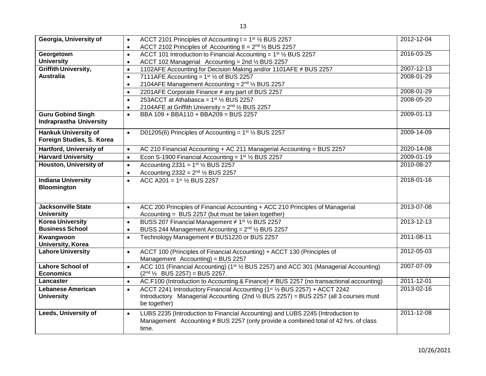| Georgia, University of         | ACCT 2101 Principles of Accounting $I = 1st$ 1/ <sub>2</sub> BUS 2257<br>$\bullet$                                          | 2012-12-04       |
|--------------------------------|-----------------------------------------------------------------------------------------------------------------------------|------------------|
|                                | ACCT 2102 Principles of Accounting II = $2nd$ 1/ <sub>2</sub> BUS 2257<br>$\bullet$                                         |                  |
| Georgetown                     | ACCT 101 Introduction to Financial Accounting = $1st$ 1/ <sub>2</sub> BUS 2257<br>$\bullet$                                 | 2016-03-25       |
| <b>University</b>              | ACCT 102 Managerial Accounting = 2nd 1/2 BUS 2257<br>$\bullet$                                                              |                  |
| Griffith University,           | 1102AFE Accounting for Decision Making and/or 1101AFE ≠ BUS 2257<br>$\bullet$                                               | 2007-12-13       |
| <b>Australia</b>               | 7111AFE Accounting = $1st$ 1/ <sub>2</sub> of BUS 2257<br>$\bullet$                                                         | 2008-01-29       |
|                                | 2104AFE Management Accounting = 2 <sup>nd</sup> 1/ <sub>2</sub> BUS 2257<br>$\bullet$                                       |                  |
|                                | 2201AFE Corporate Finance ≠ any part of BUS 2257<br>$\bullet$                                                               | 2008-01-29       |
|                                | 253ACCT at Athabasca = $1st$ 1/ <sub>2</sub> BUS 2257<br>$\bullet$                                                          | 2008-05-20       |
|                                | 2104AFE at Griffith University = 2 <sup>nd</sup> 1/ <sub>2</sub> BUS 2257<br>$\bullet$                                      |                  |
| <b>Guru Gobind Singh</b>       | BBA 109 + BBA110 + BBA209 = BUS 2257<br>$\bullet$                                                                           | 2009-01-13       |
| <b>Indraprastha University</b> |                                                                                                                             |                  |
| <b>Hankuk University of</b>    | D01205(6) Principles of Accounting = $1st$ 1/ <sub>2</sub> BUS 2257<br>$\bullet$                                            | 2009-14-09       |
| Foreign Studies, S. Korea      |                                                                                                                             |                  |
| Hartford, University of        | AC 210 Financial Accounting + AC 211 Managerial Accounting = BUS 2257<br>$\bullet$                                          | 2020-14-08       |
| <b>Harvard University</b>      | Econ S-1900 Financial Accounting = $1st$ 1/ <sub>2</sub> BUS 2257<br>$\bullet$                                              | 2009-01-19       |
| <b>Houston, University of</b>  | Accounting 2331 = $1^{st}$ 1/ <sub>2</sub> BUS 2257<br>$\bullet$                                                            | 2010-08-27       |
|                                | Accounting $2332 = 2^{nd}$ 1/ <sub>2</sub> BUS 2257<br>$\bullet$                                                            |                  |
| <b>Indiana University</b>      | ACC A201 = $1^{st}$ $\frac{1}{2}$ BUS 2257<br>$\bullet$                                                                     | 2018-01-16       |
| <b>Bloomington</b>             |                                                                                                                             |                  |
|                                |                                                                                                                             |                  |
| <b>Jacksonville State</b>      | ACC 200 Principles of Financial Accounting + ACC 210 Principles of Managerial<br>$\bullet$                                  | 2013-07-08       |
| <b>University</b>              | Accounting = BUS 2257 (but must be taken together)                                                                          |                  |
| <b>Korea University</b>        | BUSS 207 Financial Management ≠ 1 <sup>st</sup> 1/ <sub>2</sub> BUS 2257<br>$\bullet$                                       | 2013-12-13       |
| <b>Business School</b>         | BUSS 244 Management Accounting = $2^{nd}$ 1/ <sub>2</sub> BUS 2257<br>$\bullet$                                             |                  |
| Kwangwoon                      | Technology Management ≠ BUS1220 or BUS 2257<br>$\bullet$                                                                    | 2011-08-11       |
| <b>University, Korea</b>       |                                                                                                                             |                  |
| <b>Lahore University</b>       | ACCT 100 (Principles of Financial Accounting) + ACCT 130 (Principles of<br>$\bullet$                                        | 2012-05-03       |
|                                | Management Accounting) = BUS 2257                                                                                           |                  |
| <b>Lahore School of</b>        | ACC 101 (Financial Accounting) (1 <sup>st 1</sup> / <sub>2</sub> BUS 2257) and ACC 301 (Managerial Accounting)<br>$\bullet$ | 2007-07-09       |
| <b>Economics</b>               | $(2nd ½$ BUS 2257) = BUS 2257.                                                                                              |                  |
| Lancaster                      | AC.F100 (Introduction to Accounting & Finance) $\neq$ BUS 2257 (no transactional accounting)<br>$\bullet$                   | $2011 - 12 - 01$ |
| <b>Lebanese American</b>       | ACCT 2241 Introductory Financial Accounting (1st 1/2 BUS 2257) + ACCT 2242<br>$\bullet$                                     | 2013-02-16       |
| <b>University</b>              | Introductory Managerial Accounting (2nd 1/2 BUS 2257) = BUS 2257 (all 3 courses must                                        |                  |
|                                | be together)                                                                                                                |                  |
| <b>Leeds, University of</b>    | LUBS 2235 (Introduction to Financial Accounting) and LUBS 2245 (Introduction to<br>$\bullet$                                | 2011-12-08       |
|                                | Management Accounting ≠ BUS 2257 (only provide a combined total of 42 hrs. of class                                         |                  |
|                                | time.                                                                                                                       |                  |
|                                |                                                                                                                             |                  |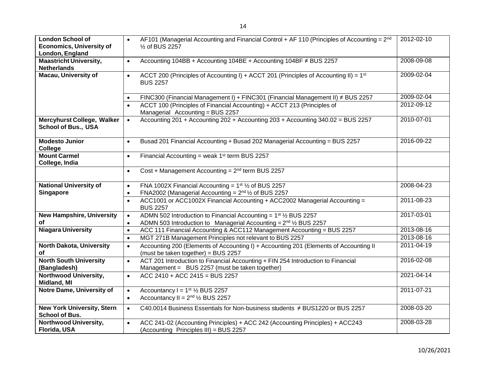| <b>London School of</b>                                         | AF101 (Managerial Accounting and Financial Control + AF 110 (Principles of Accounting = $2^{nd}$                                                | 2012-02-10 |
|-----------------------------------------------------------------|-------------------------------------------------------------------------------------------------------------------------------------------------|------------|
| <b>Economics, University of</b>                                 | 1/2 of BUS 2257                                                                                                                                 |            |
| London, England                                                 |                                                                                                                                                 |            |
| <b>Maastricht University,</b><br><b>Netherlands</b>             | Accounting 104BB + Accounting 104BE + Accounting 104BF ≠ BUS 2257<br>$\bullet$                                                                  | 2008-09-08 |
| <b>Macau, University of</b>                                     | ACCT 200 (Principles of Accounting I) + ACCT 201 (Principles of Accounting II) = 1 <sup>st</sup><br>$\bullet$<br><b>BUS 2257</b>                | 2009-02-04 |
|                                                                 | FINC300 (Financial Management I) + FINC301 (Financial Management II) $\neq$ BUS 2257                                                            | 2009-02-04 |
|                                                                 | ACCT 100 (Principles of Financial Accounting) + ACCT 213 (Principles of<br>Managerial Accounting = BUS 2257                                     | 2012-09-12 |
| <b>Mercyhurst College, Walker</b><br><b>School of Bus., USA</b> | Accounting 201 + Accounting 202 + Accounting 203 + Accounting 340.02 = BUS 2257<br>$\bullet$                                                    | 2010-07-01 |
| <b>Modesto Junior</b><br>College                                | Busad 201 Financial Accounting + Busad 202 Managerial Accounting = BUS 2257<br>$\bullet$                                                        | 2016-09-22 |
| <b>Mount Carmel</b><br>College, India                           | Financial Accounting = weak $1st$ term BUS 2257<br>$\bullet$                                                                                    |            |
|                                                                 | Cost + Management Accounting = $2^{nd}$ term BUS 2257<br>$\bullet$                                                                              |            |
| <b>National University of</b>                                   | FNA 1002X Financial Accounting = $1st$ 1/ <sub>2</sub> of BUS 2257<br>$\bullet$                                                                 | 2008-04-23 |
| Singapore                                                       | FNA2002 (Managerial Accounting = $2^{nd}$ 1/2 of BUS 2257<br>$\bullet$                                                                          |            |
|                                                                 | ACC1001 or ACC1002X Financial Accounting + ACC2002 Managerial Accounting =<br>$\bullet$<br><b>BUS 2257</b>                                      | 2011-08-23 |
| <b>New Hampshire, University</b>                                | ADMN 502 Introduction to Financial Accounting = $1st$ 1/ <sub>2</sub> BUS 2257<br>$\bullet$                                                     | 2017-03-01 |
| οf                                                              | ADMN 503 Introduction to Managerial Accounting = 2 <sup>nd</sup> 1/2 BUS 2257                                                                   |            |
| <b>Niagara University</b>                                       | ACC 111 Financial Accounting & ACC112 Management Accounting = BUS 2257<br>$\bullet$                                                             | 2013-08-16 |
|                                                                 | MGT 271B Management Principles not relevant to BUS 2257<br>$\bullet$                                                                            | 2013-08-16 |
| <b>North Dakota, University</b>                                 | Accounting 200 (Elements of Accounting I) + Accounting 201 (Elements of Accounting II<br>$\bullet$                                              | 2011-04-19 |
| of                                                              | (must be taken together) = BUS 2257                                                                                                             |            |
| <b>North South University</b><br>(Bangladesh)                   | ACT 201 Introduction to Financial Accounting + FIN 254 Introduction to Financial<br>$\bullet$<br>Management = BUS 2257 (must be taken together) | 2016-02-08 |
| Northwood University,<br>Midland, MI                            | ACC 2410 + ACC 2415 = BUS 2257<br>$\bullet$                                                                                                     | 2021-04-14 |
| Notre Dame, University of                                       | Accountancy $I = 1st$ 1/ <sub>2</sub> BUS 2257<br>$\bullet$<br>Accountancy II = $2^{nd}$ $\frac{1}{2}$ BUS 2257<br>$\bullet$                    | 2011-07-21 |
| <b>New York University, Stern</b><br><b>School of Bus.</b>      | C40.0014 Business Essentials for Non-business students ≠ BUS1220 or BUS 2257<br>$\bullet$                                                       | 2008-03-20 |
| Northwood University,<br>Florida, USA                           | ACC 241-02 (Accounting Principles) + ACC 242 (Accounting Principles) + ACC243<br>$\bullet$<br>(Accounting Principles III) = BUS 2257            | 2008-03-28 |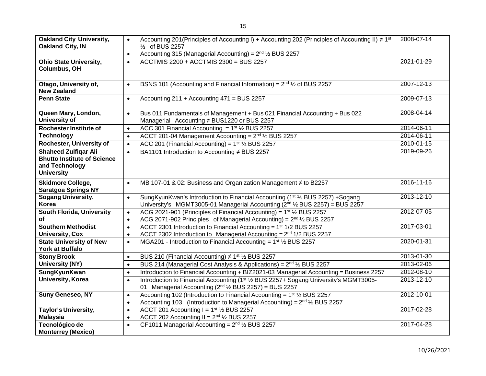| <b>Oakland City University,</b><br>Oakland City, IN                                                      | Accounting 201 (Principles of Accounting I) + Accounting 202 (Principles of Accounting II) $\neq 1^{st}$<br>$\bullet$<br>1/ <sub>2</sub> of BUS 2257<br>Accounting 315 (Managerial Accounting) = $2nd$ 1/2 BUS 2257<br>$\bullet$ | 2008-07-14 |
|----------------------------------------------------------------------------------------------------------|----------------------------------------------------------------------------------------------------------------------------------------------------------------------------------------------------------------------------------|------------|
| <b>Ohio State University,</b><br><b>Columbus, OH</b>                                                     | ACCTMIS 2200 + ACCTMIS 2300 = BUS 2257<br>$\bullet$                                                                                                                                                                              | 2021-01-29 |
| Otago, University of,<br><b>New Zealand</b>                                                              | BSNS 101 (Accounting and Financial Information) = $2^{nd}$ $\frac{1}{2}$ of BUS 2257<br>$\bullet$                                                                                                                                | 2007-12-13 |
| <b>Penn State</b>                                                                                        | Accounting 211 + Accounting 471 = BUS 2257<br>$\bullet$                                                                                                                                                                          | 2009-07-13 |
| Queen Mary, London,<br>University of                                                                     | Bus 011 Fundamentals of Management + Bus 021 Financial Accounting + Bus 022<br>$\bullet$<br>Managerial Accounting ≠ BUS1220 or BUS 2257                                                                                          | 2008-04-14 |
| <b>Rochester Institute of</b>                                                                            | ACC 301 Financial Accounting = $1st$ 1/ <sub>2</sub> BUS 2257<br>$\bullet$                                                                                                                                                       | 2014-06-11 |
| <b>Technology</b>                                                                                        | ACCT 201-04 Management Accounting = 2 <sup>nd</sup> 1/ <sub>2</sub> BUS 2257<br>$\bullet$                                                                                                                                        | 2014-06-11 |
| Rochester, University of                                                                                 | ACC 201 (Financial Accounting) = $1st$ 1/ <sub>2</sub> BUS 2257<br>$\bullet$                                                                                                                                                     | 2010-01-15 |
| <b>Shaheed Zulfigar Ali</b><br><b>Bhutto Institute of Science</b><br>and Technology<br><b>University</b> | BA1101 Introduction to Accounting ≠ BUS 2257<br>$\bullet$                                                                                                                                                                        | 2019-09-26 |
| <b>Skidmore College,</b><br><b>Saratgoa Springs NY</b>                                                   | MB 107-01 & 02: Business and Organization Management ≠ to B2257<br>$\bullet$                                                                                                                                                     | 2016-11-16 |
| <b>Sogang University,</b><br>Korea                                                                       | SungKyunKwan's Introduction to Financial Accounting (1 <sup>st 1</sup> / <sub>2</sub> BUS 2257) +Sogang<br>$\bullet$<br>University's MGMT3005-01 Managerial Accounting ( $2^{nd}$ $\frac{1}{2}$ BUS 2257) = BUS 2257             | 2013-12-10 |
| <b>South Florida, University</b><br>of                                                                   | ACG 2021-901 (Principles of Financial Accounting) = $1st$ 1/ <sub>2</sub> BUS 2257<br>$\bullet$<br>ACG 2071-902 Principles of Managerial Accounting) = $2^{nd}$ % BUS 2257<br>$\bullet$                                          | 2012-07-05 |
| <b>Southern Methodist</b><br><b>University, Cox</b>                                                      | ACCT 2301 Introduction to Financial Accounting = 1 <sup>st</sup> 1/2 BUS 2257<br>$\bullet$<br>ACCT 2302 Introduction to Managerial Accounting = $2nd 1/2$ BUS 2257<br>$\bullet$                                                  | 2017-03-01 |
| <b>State University of New</b><br><b>York at Buffalo</b>                                                 | MGA201 - Introduction to Financial Accounting = $1st$ 1/ <sub>2</sub> BUS 2257<br>$\bullet$                                                                                                                                      | 2020-01-31 |
| <b>Stony Brook</b>                                                                                       | BUS 210 (Financial Accounting) $\neq$ 1st 1/2 BUS 2257<br>$\bullet$                                                                                                                                                              | 2013-01-30 |
| <b>University (NY)</b>                                                                                   | BUS 214 (Managerial Cost Analysis & Applications) = 2 <sup>nd</sup> 1/2 BUS 2257<br>$\bullet$                                                                                                                                    | 2013-02-06 |
| SungKyunKwan                                                                                             | Introduction to Financial Accounting + BIZ2021-03 Managerial Accounting = Business 2257<br>$\bullet$                                                                                                                             | 2012-08-10 |
| <b>University, Korea</b>                                                                                 | Introduction to Financial Accounting (1 <sup>st 1</sup> / <sub>2</sub> BUS 2257+ Sogang University's MGMT3005-<br>$\bullet$<br>01 Managerial Accounting ( $2^{nd}$ $\frac{1}{2}$ BUS 2257) = BUS 2257                            | 2013-12-10 |
| <b>Suny Geneseo, NY</b>                                                                                  | Accounting 102 (Introduction to Financial Accounting = 1 <sup>st</sup> 1/ <sub>2</sub> BUS 2257<br>$\bullet$<br>Accounting 103 (Introduction to Managerial Accounting) = $2nd$ 1/ <sub>2</sub> BUS 2257<br>$\bullet$             | 2012-10-01 |
| Taylor's University,<br><b>Malaysia</b>                                                                  | ACCT 201 Accounting $I = 1st$ 1/ <sub>2</sub> BUS 2257<br>$\bullet$<br>ACCT 202 Accounting II = $2^{nd}$ $\frac{1}{2}$ BUS 2257<br>$\bullet$                                                                                     | 2017-02-28 |
| Tecnológico de<br><b>Monterrey (Mexico)</b>                                                              | CF1011 Managerial Accounting = $2^{nd}$ 1/ <sub>2</sub> BUS 2257<br>$\bullet$                                                                                                                                                    | 2017-04-28 |